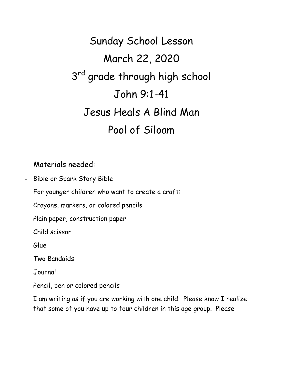Sunday School Lesson March 22, 2020 3<sup>rd</sup> grade through high school John 9:1-41 Jesus Heals A Blind Man Pool of Siloam

## Materials needed:

Bible or Spark Story Bible

For younger children who want to create a craft:

Crayons, markers, or colored pencils

Plain paper, construction paper

Child scissor

Glue

Two Bandaids

Journal

Pencil, pen or colored pencils

I am writing as if you are working with one child. Please know I realize that some of you have up to four children in this age group. Please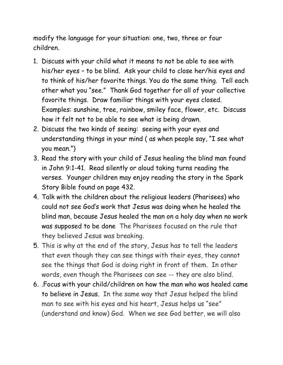modify the language for your situation: one, two, three or four children.

- 1. Discuss with your child what it means to not be able to see with his/her eyes – to be blind. Ask your child to close her/his eyes and to think of his/her favorite things. You do the same thing. Tell each other what you "see." Thank God together for all of your collective favorite things. Draw familiar things with your eyes closed. Examples: sunshine, tree, rainbow, smiley face, flower, etc. Discuss how it felt not to be able to see what is being drawn.
- 2. Discuss the two kinds of seeing: seeing with your eyes and understanding things in your mind ( as when people say, "I see what you mean.")
- 3. Read the story with your child of Jesus healing the blind man found in John 9:1-41. Read silently or aloud taking turns reading the verses. Younger children may enjoy reading the story in the Spark Story Bible found on page 432.
- 4. Talk with the children about the religious leaders (Pharisees) who could not see God's work that Jesus was doing when he healed the blind man, because Jesus healed the man on a holy day when no work was supposed to be done The Pharisees focused on the rule that they believed Jesus was breaking.
- 5. This is why at the end of the story, Jesus has to tell the leaders that even though they can see things with their eyes, they cannot see the things that God is doing right in front of them. In other words, even though the Pharisees can see -- they are also blind.
- 6. .Focus with your child/children on how the man who was healed came to believe in Jesus. In the same way that Jesus helped the blind man to see with his eyes and his heart, Jesus helps us "see" (understand and know) God. When we see God better, we will also